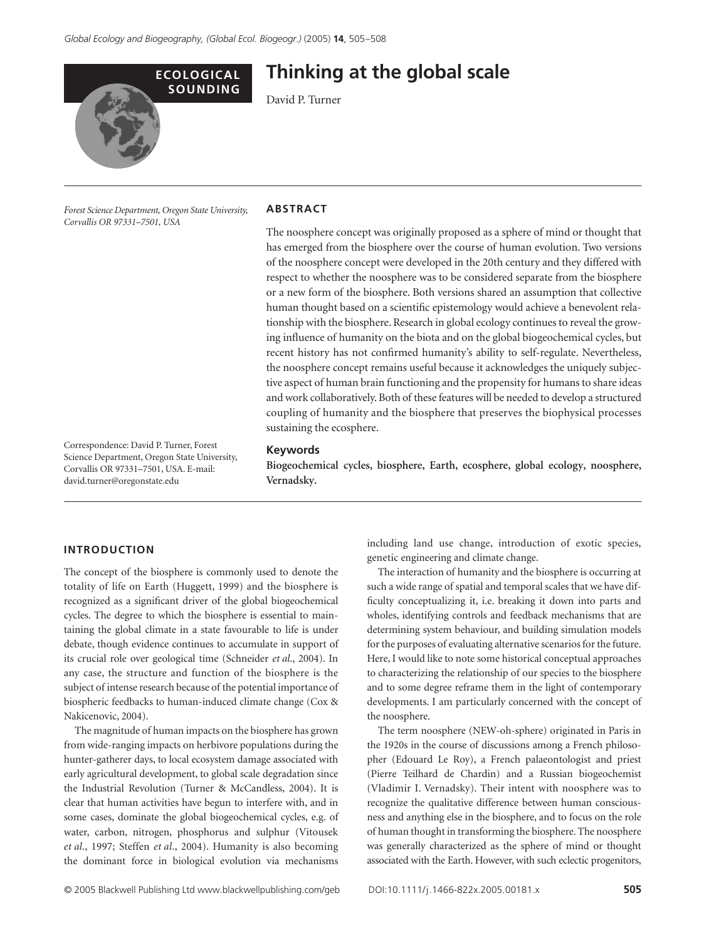

# **Thinking at the global scale**

David P. Turner

*Forest Science Department, Oregon State University, Corvallis OR 97331–7501, USA* 

#### **ABSTRACT**

The noosphere concept was originally proposed as a sphere of mind or thought that has emerged from the biosphere over the course of human evolution. Two versions of the noosphere concept were developed in the 20th century and they differed with respect to whether the noosphere was to be considered separate from the biosphere or a new form of the biosphere. Both versions shared an assumption that collective human thought based on a scientific epistemology would achieve a benevolent relationship with the biosphere. Research in global ecology continues to reveal the growing influence of humanity on the biota and on the global biogeochemical cycles, but recent history has not confirmed humanity's ability to self-regulate. Nevertheless, the noosphere concept remains useful because it acknowledges the uniquely subjective aspect of human brain functioning and the propensity for humans to share ideas and work collaboratively. Both of these features will be needed to develop a structured coupling of humanity and the biosphere that preserves the biophysical processes sustaining the ecosphere.

Correspondence: David P. Turner, Forest Science Department, Oregon State University, Corvallis OR 97331–7501, USA. E-mail: david.turner@oregonstate.edu

#### **Keywords**

**Biogeochemical cycles, biosphere, Earth, ecosphere, global ecology, noosphere, Vernadsky.**

#### **INTRODUCTION**

The concept of the biosphere is commonly used to denote the totality of life on Earth (Huggett, 1999) and the biosphere is recognized as a significant driver of the global biogeochemical cycles. The degree to which the biosphere is essential to maintaining the global climate in a state favourable to life is under debate, though evidence continues to accumulate in support of its crucial role over geological time (Schneider *et al*., 2004). In any case, the structure and function of the biosphere is the subject of intense research because of the potential importance of biospheric feedbacks to human-induced climate change (Cox & Nakicenovic, 2004).

The magnitude of human impacts on the biosphere has grown from wide-ranging impacts on herbivore populations during the hunter-gatherer days, to local ecosystem damage associated with early agricultural development, to global scale degradation since the Industrial Revolution (Turner & McCandless, 2004). It is clear that human activities have begun to interfere with, and in some cases, dominate the global biogeochemical cycles, e.g. of water, carbon, nitrogen, phosphorus and sulphur (Vitousek *et al*., 1997; Steffen *et al*., 2004). Humanity is also becoming the dominant force in biological evolution via mechanisms

including land use change, introduction of exotic species, genetic engineering and climate change.

The interaction of humanity and the biosphere is occurring at such a wide range of spatial and temporal scales that we have difficulty conceptualizing it, i.e. breaking it down into parts and wholes, identifying controls and feedback mechanisms that are determining system behaviour, and building simulation models for the purposes of evaluating alternative scenarios for the future. Here, I would like to note some historical conceptual approaches to characterizing the relationship of our species to the biosphere and to some degree reframe them in the light of contemporary developments. I am particularly concerned with the concept of the noosphere.

The term noosphere (NEW-oh-sphere) originated in Paris in the 1920s in the course of discussions among a French philosopher (Edouard Le Roy), a French palaeontologist and priest (Pierre Teilhard de Chardin) and a Russian biogeochemist (Vladimir I. Vernadsky). Their intent with noosphere was to recognize the qualitative difference between human consciousness and anything else in the biosphere, and to focus on the role of human thought in transforming the biosphere. The noosphere was generally characterized as the sphere of mind or thought associated with the Earth. However, with such eclectic progenitors,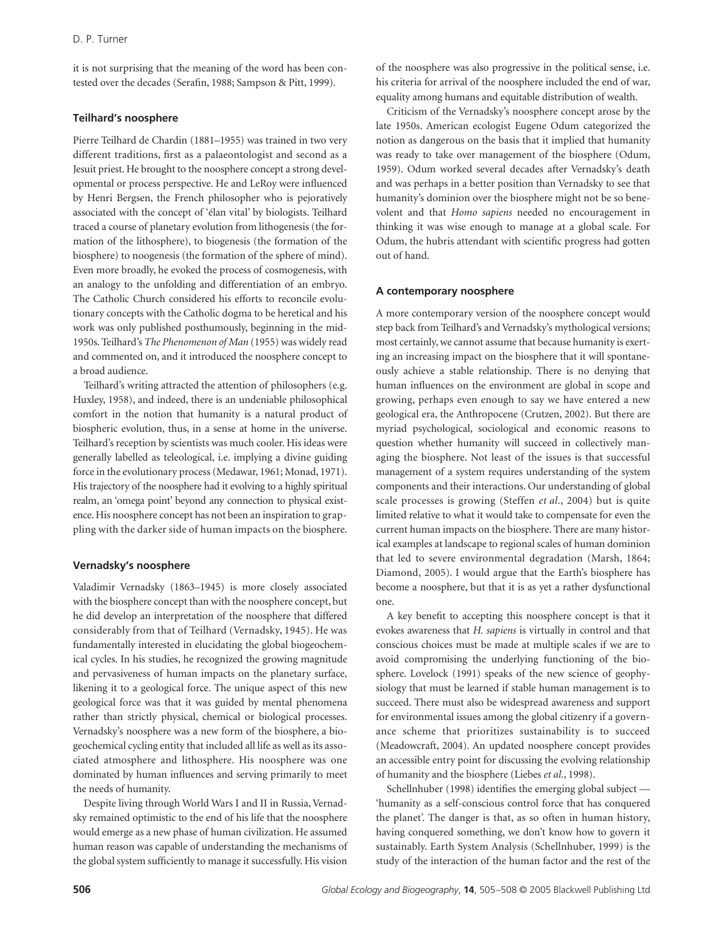it is not surprising that the meaning of the word has been contested over the decades (Serafin, 1988; Sampson & Pitt, 1999).

### **Teilhard's noosphere**

Pierre Teilhard de Chardin (1881–1955) was trained in two very different traditions, first as a palaeontologist and second as a Jesuit priest. He brought to the noosphere concept a strong developmental or process perspective. He and LeRoy were influenced by Henri Bergsen, the French philosopher who is pejoratively associated with the concept of 'élan vital' by biologists. Teilhard traced a course of planetary evolution from lithogenesis (the formation of the lithosphere), to biogenesis (the formation of the biosphere) to noogenesis (the formation of the sphere of mind). Even more broadly, he evoked the process of cosmogenesis, with an analogy to the unfolding and differentiation of an embryo. The Catholic Church considered his efforts to reconcile evolutionary concepts with the Catholic dogma to be heretical and his work was only published posthumously, beginning in the mid-1950s. Teilhard's *The Phenomenon of Man* (1955) was widely read and commented on, and it introduced the noosphere concept to a broad audience.

Teilhard's writing attracted the attention of philosophers (e.g. Huxley, 1958), and indeed, there is an undeniable philosophical comfort in the notion that humanity is a natural product of biospheric evolution, thus, in a sense at home in the universe. Teilhard's reception by scientists was much cooler. His ideas were generally labelled as teleological, i.e. implying a divine guiding force in the evolutionary process (Medawar, 1961; Monad, 1971). His trajectory of the noosphere had it evolving to a highly spiritual realm, an 'omega point' beyond any connection to physical existence. His noosphere concept has not been an inspiration to grappling with the darker side of human impacts on the biosphere.

# **Vernadsky's noosphere**

Valadimir Vernadsky (1863–1945) is more closely associated with the biosphere concept than with the noosphere concept, but he did develop an interpretation of the noosphere that differed considerably from that of Teilhard (Vernadsky, 1945). He was fundamentally interested in elucidating the global biogeochemical cycles. In his studies, he recognized the growing magnitude and pervasiveness of human impacts on the planetary surface, likening it to a geological force. The unique aspect of this new geological force was that it was guided by mental phenomena rather than strictly physical, chemical or biological processes. Vernadsky's noosphere was a new form of the biosphere, a biogeochemical cycling entity that included all life as well as its associated atmosphere and lithosphere. His noosphere was one dominated by human influences and serving primarily to meet the needs of humanity.

Despite living through World Wars I and II in Russia, Vernadsky remained optimistic to the end of his life that the noosphere would emerge as a new phase of human civilization. He assumed human reason was capable of understanding the mechanisms of the global system sufficiently to manage it successfully. His vision of the noosphere was also progressive in the political sense, i.e. his criteria for arrival of the noosphere included the end of war, equality among humans and equitable distribution of wealth.

Criticism of the Vernadsky's noosphere concept arose by the late 1950s. American ecologist Eugene Odum categorized the notion as dangerous on the basis that it implied that humanity was ready to take over management of the biosphere (Odum, 1959). Odum worked several decades after Vernadsky's death and was perhaps in a better position than Vernadsky to see that humanity's dominion over the biosphere might not be so benevolent and that *Homo sapiens* needed no encouragement in thinking it was wise enough to manage at a global scale. For Odum, the hubris attendant with scientific progress had gotten out of hand.

#### **A contemporary noosphere**

A more contemporary version of the noosphere concept would step back from Teilhard's and Vernadsky's mythological versions; most certainly, we cannot assume that because humanity is exerting an increasing impact on the biosphere that it will spontaneously achieve a stable relationship. There is no denying that human influences on the environment are global in scope and growing, perhaps even enough to say we have entered a new geological era, the Anthropocene (Crutzen, 2002). But there are myriad psychological, sociological and economic reasons to question whether humanity will succeed in collectively managing the biosphere. Not least of the issues is that successful management of a system requires understanding of the system components and their interactions. Our understanding of global scale processes is growing (Steffen *et al*., 2004) but is quite limited relative to what it would take to compensate for even the current human impacts on the biosphere. There are many historical examples at landscape to regional scales of human dominion that led to severe environmental degradation (Marsh, 1864; Diamond, 2005). I would argue that the Earth's biosphere has become a noosphere, but that it is as yet a rather dysfunctional one.

A key benefit to accepting this noosphere concept is that it evokes awareness that *H. sapiens* is virtually in control and that conscious choices must be made at multiple scales if we are to avoid compromising the underlying functioning of the biosphere. Lovelock (1991) speaks of the new science of geophysiology that must be learned if stable human management is to succeed. There must also be widespread awareness and support for environmental issues among the global citizenry if a governance scheme that prioritizes sustainability is to succeed (Meadowcraft, 2004). An updated noosphere concept provides an accessible entry point for discussing the evolving relationship of humanity and the biosphere (Liebes *et al*., 1998).

Schellnhuber (1998) identifies the emerging global subject — 'humanity as a self-conscious control force that has conquered the planet'. The danger is that, as so often in human history, having conquered something, we don't know how to govern it sustainably. Earth System Analysis (Schellnhuber, 1999) is the study of the interaction of the human factor and the rest of the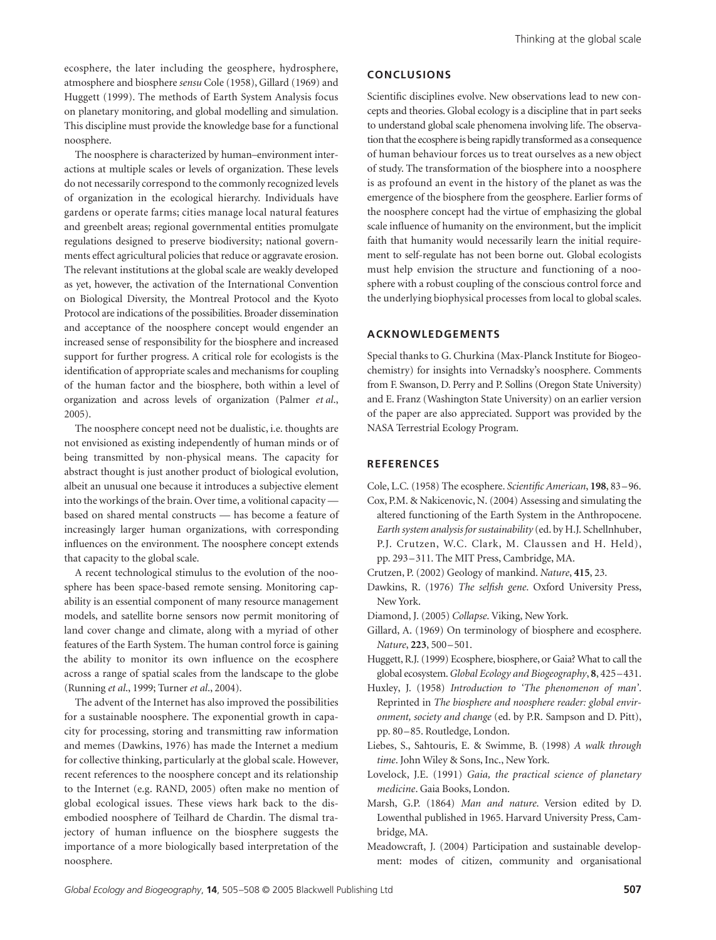ecosphere, the later including the geosphere, hydrosphere, atmosphere and biosphere *sensu* Cole (1958), Gillard (1969) and Huggett (1999). The methods of Earth System Analysis focus on planetary monitoring, and global modelling and simulation. This discipline must provide the knowledge base for a functional noosphere.

The noosphere is characterized by human–environment interactions at multiple scales or levels of organization. These levels do not necessarily correspond to the commonly recognized levels of organization in the ecological hierarchy. Individuals have gardens or operate farms; cities manage local natural features and greenbelt areas; regional governmental entities promulgate regulations designed to preserve biodiversity; national governments effect agricultural policies that reduce or aggravate erosion. The relevant institutions at the global scale are weakly developed as yet, however, the activation of the International Convention on Biological Diversity, the Montreal Protocol and the Kyoto Protocol are indications of the possibilities. Broader dissemination and acceptance of the noosphere concept would engender an increased sense of responsibility for the biosphere and increased support for further progress. A critical role for ecologists is the identification of appropriate scales and mechanisms for coupling of the human factor and the biosphere, both within a level of organization and across levels of organization (Palmer *et al*., 2005).

The noosphere concept need not be dualistic, i.e. thoughts are not envisioned as existing independently of human minds or of being transmitted by non-physical means. The capacity for abstract thought is just another product of biological evolution, albeit an unusual one because it introduces a subjective element into the workings of the brain. Over time, a volitional capacity based on shared mental constructs — has become a feature of increasingly larger human organizations, with corresponding influences on the environment. The noosphere concept extends that capacity to the global scale.

A recent technological stimulus to the evolution of the noosphere has been space-based remote sensing. Monitoring capability is an essential component of many resource management models, and satellite borne sensors now permit monitoring of land cover change and climate, along with a myriad of other features of the Earth System. The human control force is gaining the ability to monitor its own influence on the ecosphere across a range of spatial scales from the landscape to the globe (Running *et al*., 1999; Turner *et al*., 2004).

The advent of the Internet has also improved the possibilities for a sustainable noosphere. The exponential growth in capacity for processing, storing and transmitting raw information and memes (Dawkins, 1976) has made the Internet a medium for collective thinking, particularly at the global scale. However, recent references to the noosphere concept and its relationship to the Internet (e.g. RAND, 2005) often make no mention of global ecological issues. These views hark back to the disembodied noosphere of Teilhard de Chardin. The dismal trajectory of human influence on the biosphere suggests the importance of a more biologically based interpretation of the noosphere.

#### **CONCLUSIONS**

Scientific disciplines evolve. New observations lead to new concepts and theories. Global ecology is a discipline that in part seeks to understand global scale phenomena involving life. The observation that the ecosphere is being rapidly transformed as a consequence of human behaviour forces us to treat ourselves as a new object of study. The transformation of the biosphere into a noosphere is as profound an event in the history of the planet as was the emergence of the biosphere from the geosphere. Earlier forms of the noosphere concept had the virtue of emphasizing the global scale influence of humanity on the environment, but the implicit faith that humanity would necessarily learn the initial requirement to self-regulate has not been borne out. Global ecologists must help envision the structure and functioning of a noosphere with a robust coupling of the conscious control force and the underlying biophysical processes from local to global scales.

# **ACKNOWLEDGEMENTS**

Special thanks to G. Churkina (Max-Planck Institute for Biogeochemistry) for insights into Vernadsky's noosphere. Comments from F. Swanson, D. Perry and P. Sollins (Oregon State University) and E. Franz (Washington State University) on an earlier version of the paper are also appreciated. Support was provided by the NASA Terrestrial Ecology Program.

# **REFERENCES**

Cole, L.C. (1958) The ecosphere. *Scientific American*, **198**, 83–96.

- Cox, P.M. & Nakicenovic, N. (2004) Assessing and simulating the altered functioning of the Earth System in the Anthropocene. *Earth system analysis for sustainability* (ed. by H.J. Schellnhuber, P.J. Crutzen, W.C. Clark, M. Claussen and H. Held), pp. 293–311. The MIT Press, Cambridge, MA.
- Crutzen, P. (2002) Geology of mankind. *Nature*, **415**, 23.
- Dawkins, R. (1976) *The selfish gene*. Oxford University Press, New York.
- Diamond, J. (2005) *Collapse*. Viking, New York.
- Gillard, A. (1969) On terminology of biosphere and ecosphere. *Nature*, **223**, 500–501.
- Huggett, R.J. (1999) Ecosphere, biosphere, or Gaia? What to call the global ecosystem. *Global Ecology and Biogeography*, **8**, 425–431.
- Huxley, J. (1958) *Introduction to 'The phenomenon of man'*. Reprinted in *The biosphere and noosphere reader: global environment, society and change* (ed. by P.R. Sampson and D. Pitt), pp. 80–85. Routledge, London.
- Liebes, S., Sahtouris, E. & Swimme, B. (1998) *A walk through time*. John Wiley & Sons, Inc., New York.
- Lovelock, J.E. (1991) *Gaia, the practical science of planetary medicine*. Gaia Books, London.
- Marsh, G.P. (1864) *Man and nature*. Version edited by D. Lowenthal published in 1965. Harvard University Press, Cambridge, MA.
- Meadowcraft, J. (2004) Participation and sustainable development: modes of citizen, community and organisational